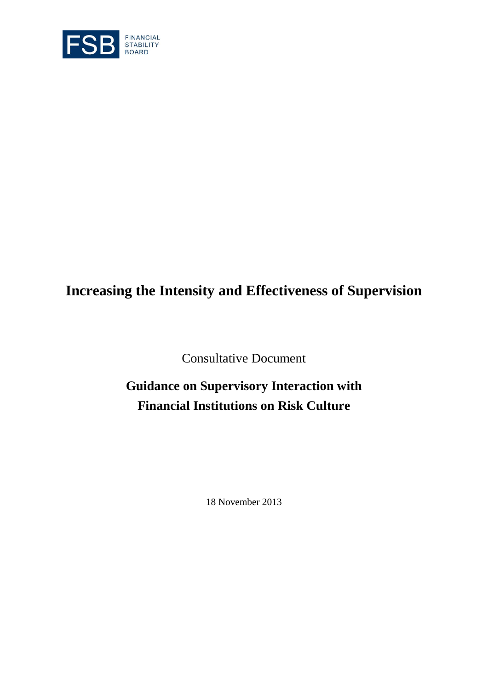

# **Increasing the Intensity and Effectiveness of Supervision**

Consultative Document

# **Guidance on Supervisory Interaction with Financial Institutions on Risk Culture**

18 November 2013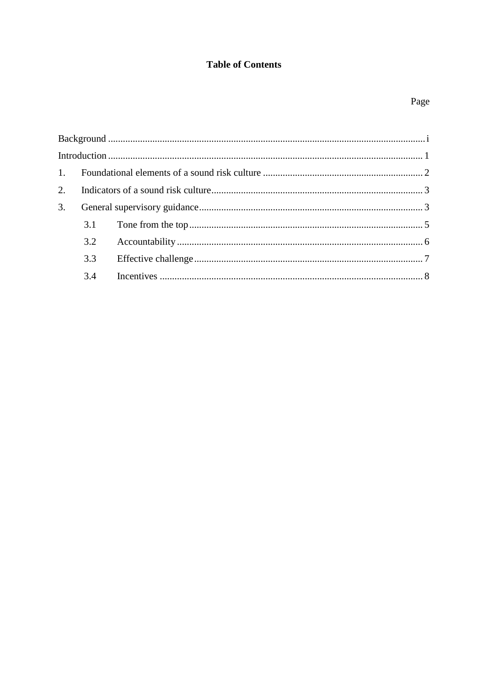# **Table of Contents**

# Page

| 3. |     |  |  |
|----|-----|--|--|
|    |     |  |  |
|    |     |  |  |
|    | 3.3 |  |  |
|    |     |  |  |
|    |     |  |  |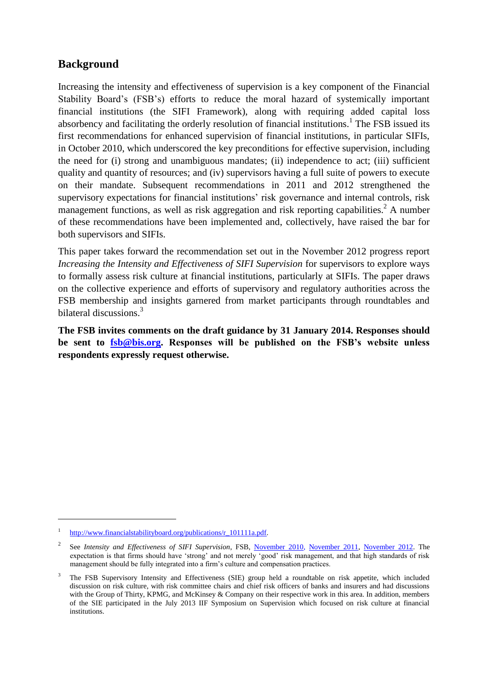# <span id="page-3-0"></span>**Background**

Increasing the intensity and effectiveness of supervision is a key component of the Financial Stability Board's (FSB's) efforts to reduce the moral hazard of systemically important financial institutions (the SIFI Framework), along with requiring added capital loss absorbency and facilitating the orderly resolution of financial institutions.<sup>1</sup> The FSB issued its first recommendations for enhanced supervision of financial institutions, in particular SIFIs, in October 2010, which underscored the key preconditions for effective supervision, including the need for (i) strong and unambiguous mandates; (ii) independence to act; (iii) sufficient quality and quantity of resources; and (iv) supervisors having a full suite of powers to execute on their mandate. Subsequent recommendations in 2011 and 2012 strengthened the supervisory expectations for financial institutions' risk governance and internal controls, risk management functions, as well as risk aggregation and risk reporting capabilities.<sup>2</sup> A number of these recommendations have been implemented and, collectively, have raised the bar for both supervisors and SIFIs.

This paper takes forward the recommendation set out in the November 2012 progress report *Increasing the Intensity and Effectiveness of SIFI Supervision* for supervisors to explore ways to formally assess risk culture at financial institutions, particularly at SIFIs. The paper draws on the collective experience and efforts of supervisory and regulatory authorities across the FSB membership and insights garnered from market participants through roundtables and bilateral discussions.<sup>3</sup>

**The FSB invites comments on the draft guidance by 31 January 2014. Responses should be sent to [fsb@bis.org.](mailto:fsb@bis.org) Responses will be published on the FSB's website unless respondents expressly request otherwise.**

 $\overline{a}$ 

<sup>1</sup> [http://www.financialstabilityboard.org/publications/r\\_101111a.pdf.](http://www.financialstabilityboard.org/publications/r_101111a.pdf)

<sup>2</sup> See *Intensity and Effectiveness of SIFI Supervision*, FSB, [November 2010,](http://www.financialstabilityboard.org/publications/r_101101.htm) [November 2011,](http://www.financialstabilityboard.org/publications/r_111104ee.htm) [November 2012.](http://www.financialstabilityboard.org/publications/r_121031ab.htm) The expectation is that firms should have 'strong' and not merely 'good' risk management, and that high standards of risk management should be fully integrated into a firm's culture and compensation practices.

<sup>&</sup>lt;sup>3</sup> The FSB Supervisory Intensity and Effectiveness (SIE) group held a roundtable on risk appetite, which included discussion on risk culture, with risk committee chairs and chief risk officers of banks and insurers and had discussions with the Group of Thirty, KPMG, and McKinsey & Company on their respective work in this area. In addition, members of the SIE participated in the July 2013 IIF Symposium on Supervision which focused on risk culture at financial institutions.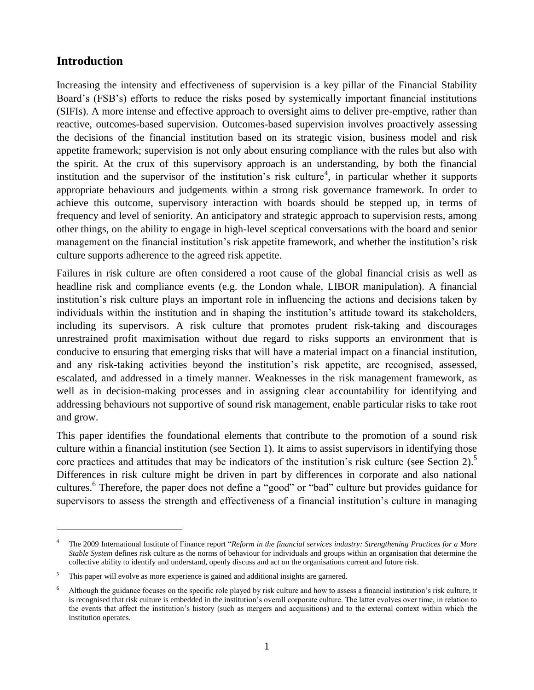# **Introduction**

 $\overline{a}$ 

<span id="page-4-0"></span>Increasing the intensity and effectiveness of supervision is a key pillar of the Financial Stability Board's (FSB's) efforts to reduce the risks posed by systemically important financial institutions (SIFIs). A more intense and effective approach to oversight aims to deliver pre-emptive, rather than reactive, outcomes-based supervision. Outcomes-based supervision involves proactively assessing the decisions of the financial institution based on its strategic vision, business model and risk appetite framework; supervision is not only about ensuring compliance with the rules but also with the spirit. At the crux of this supervisory approach is an understanding, by both the financial institution and the supervisor of the institution's risk culture<sup>4</sup>, in particular whether it supports appropriate behaviours and judgements within a strong risk governance framework. In order to achieve this outcome, supervisory interaction with boards should be stepped up, in terms of frequency and level of seniority. An anticipatory and strategic approach to supervision rests, among other things, on the ability to engage in high-level sceptical conversations with the board and senior management on the financial institution's risk appetite framework, and whether the institution's risk culture supports adherence to the agreed risk appetite.

Failures in risk culture are often considered a root cause of the global financial crisis as well as headline risk and compliance events (e.g. the London whale, LIBOR manipulation). A financial institution's risk culture plays an important role in influencing the actions and decisions taken by individuals within the institution and in shaping the institution's attitude toward its stakeholders, including its supervisors. A risk culture that promotes prudent risk-taking and discourages unrestrained profit maximisation without due regard to risks supports an environment that is conducive to ensuring that emerging risks that will have a material impact on a financial institution, and any risk-taking activities beyond the institution's risk appetite, are recognised, assessed, escalated, and addressed in a timely manner. Weaknesses in the risk management framework, as well as in decision-making processes and in assigning clear accountability for identifying and addressing behaviours not supportive of sound risk management, enable particular risks to take root and grow.

This paper identifies the foundational elements that contribute to the promotion of a sound risk culture within a financial institution (see Section 1). It aims to assist supervisors in identifying those core practices and attitudes that may be indicators of the institution's risk culture (see Section 2).<sup>5</sup> Differences in risk culture might be driven in part by differences in corporate and also national cultures.<sup>6</sup> Therefore, the paper does not define a "good" or "bad" culture but provides guidance for supervisors to assess the strength and effectiveness of a financial institution's culture in managing

<sup>4</sup> The 2009 International Institute of Finance report "*Reform in the financial services industry: Strengthening Practices for a More Stable System* defines risk culture as the norms of behaviour for individuals and groups within an organisation that determine the collective ability to identify and understand, openly discuss and act on the organisations current and future risk.

<sup>&</sup>lt;sup>5</sup> This paper will evolve as more experience is gained and additional insights are garnered.

<sup>6</sup> Although the guidance focuses on the specific role played by risk culture and how to assess a financial institution's risk culture, it is recognised that risk culture is embedded in the institution's overall corporate culture. The latter evolves over time, in relation to the events that affect the institution's history (such as mergers and acquisitions) and to the external context within which the institution operates.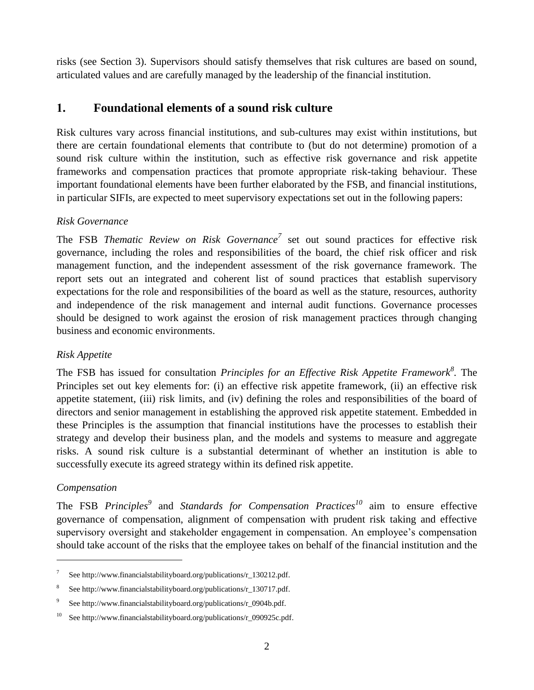risks (see Section 3). Supervisors should satisfy themselves that risk cultures are based on sound, articulated values and are carefully managed by the leadership of the financial institution.

# <span id="page-5-0"></span>**1. Foundational elements of a sound risk culture**

Risk cultures vary across financial institutions, and sub-cultures may exist within institutions, but there are certain foundational elements that contribute to (but do not determine) promotion of a sound risk culture within the institution, such as effective risk governance and risk appetite frameworks and compensation practices that promote appropriate risk-taking behaviour. These important foundational elements have been further elaborated by the FSB, and financial institutions, in particular SIFIs, are expected to meet supervisory expectations set out in the following papers:

# *Risk Governance*

The FSB *Thematic Review on Risk Governance<sup>7</sup>* set out sound practices for effective risk governance, including the roles and responsibilities of the board, the chief risk officer and risk management function, and the independent assessment of the risk governance framework. The report sets out an integrated and coherent list of sound practices that establish supervisory expectations for the role and responsibilities of the board as well as the stature, resources, authority and independence of the risk management and internal audit functions. Governance processes should be designed to work against the erosion of risk management practices through changing business and economic environments.

# *Risk Appetite*

The FSB has issued for consultation *Principles for an Effective Risk Appetite Framework<sup>8</sup> .* The Principles set out key elements for: (i) an effective risk appetite framework, (ii) an effective risk appetite statement, (iii) risk limits, and (iv) defining the roles and responsibilities of the board of directors and senior management in establishing the approved risk appetite statement. Embedded in these Principles is the assumption that financial institutions have the processes to establish their strategy and develop their business plan, and the models and systems to measure and aggregate risks. A sound risk culture is a substantial determinant of whether an institution is able to successfully execute its agreed strategy within its defined risk appetite.

## *Compensation*

 $\overline{a}$ 

The FSB *Principles<sup>9</sup>* and *Standards for Compensation Practices<sup>10</sup>* aim to ensure effective governance of compensation, alignment of compensation with prudent risk taking and effective supervisory oversight and stakeholder engagement in compensation. An employee's compensation should take account of the risks that the employee takes on behalf of the financial institution and the

<sup>7</sup> See [http://www.financialstabilityboard.org/publications/r\\_130212.pdf.](http://www.financialstabilityboard.org/publications/r_130212.pdf)

<sup>8</sup> See [http://www.financialstabilityboard.org/publications/r\\_130717.pdf.](http://www.financialstabilityboard.org/publications/r_130717.pdf)

<sup>9</sup> See [http://www.financialstabilityboard.org/publications/r\\_0904b.pdf.](http://www.financialstabilityboard.org/publications/r_0904b.pdf)

<sup>&</sup>lt;sup>10</sup> See [http://www.financialstabilityboard.org/publications/r\\_090925c.pdf.](http://www.financialstabilityboard.org/publications/r_090925c.pdf)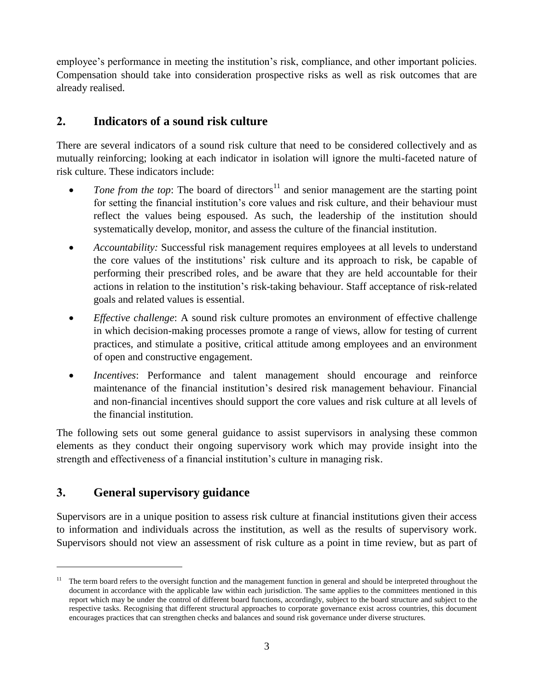employee's performance in meeting the institution's risk, compliance, and other important policies. Compensation should take into consideration prospective risks as well as risk outcomes that are already realised.

# **2. Indicators of a sound risk culture**

<span id="page-6-0"></span>There are several indicators of a sound risk culture that need to be considered collectively and as mutually reinforcing; looking at each indicator in isolation will ignore the multi-faceted nature of risk culture. These indicators include:

- $\bullet$  *Tone from the top*: The board of directors<sup>11</sup> and senior management are the starting point for setting the financial institution's core values and risk culture, and their behaviour must reflect the values being espoused. As such, the leadership of the institution should systematically develop, monitor, and assess the culture of the financial institution.
- *Accountability:* Successful risk management requires employees at all levels to understand the core values of the institutions' risk culture and its approach to risk, be capable of performing their prescribed roles, and be aware that they are held accountable for their actions in relation to the institution's risk-taking behaviour. Staff acceptance of risk-related goals and related values is essential.
- *Effective challenge*: A sound risk culture promotes an environment of effective challenge in which decision-making processes promote a range of views, allow for testing of current practices, and stimulate a positive, critical attitude among employees and an environment of open and constructive engagement.
- *Incentives*: Performance and talent management should encourage and reinforce maintenance of the financial institution's desired risk management behaviour. Financial and non-financial incentives should support the core values and risk culture at all levels of the financial institution.

The following sets out some general guidance to assist supervisors in analysing these common elements as they conduct their ongoing supervisory work which may provide insight into the strength and effectiveness of a financial institution's culture in managing risk.

# **3. General supervisory guidance**

 $\overline{a}$ 

<span id="page-6-1"></span>Supervisors are in a unique position to assess risk culture at financial institutions given their access to information and individuals across the institution, as well as the results of supervisory work. Supervisors should not view an assessment of risk culture as a point in time review, but as part of

<sup>&</sup>lt;sup>11</sup> The term board refers to the oversight function and the management function in general and should be interpreted throughout the document in accordance with the applicable law within each jurisdiction. The same applies to the committees mentioned in this report which may be under the control of different board functions, accordingly, subject to the board structure and subject to the respective tasks. Recognising that different structural approaches to corporate governance exist across countries, this document encourages practices that can strengthen checks and balances and sound risk governance under diverse structures.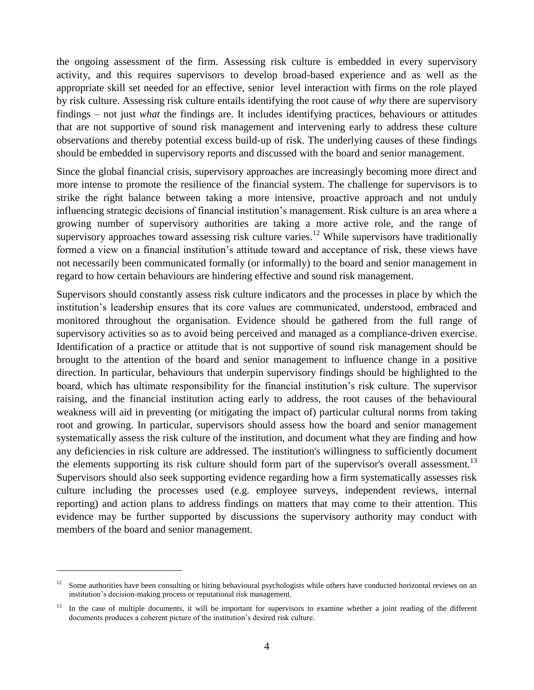the ongoing assessment of the firm. Assessing risk culture is embedded in every supervisory activity, and this requires supervisors to develop broad-based experience and as well as the appropriate skill set needed for an effective, senior level interaction with firms on the role played by risk culture. Assessing risk culture entails identifying the root cause of *why* there are supervisory findings – not just *what* the findings are. It includes identifying practices, behaviours or attitudes that are not supportive of sound risk management and intervening early to address these culture observations and thereby potential excess build-up of risk. The underlying causes of these findings should be embedded in supervisory reports and discussed with the board and senior management.

Since the global financial crisis, supervisory approaches are increasingly becoming more direct and more intense to promote the resilience of the financial system. The challenge for supervisors is to strike the right balance between taking a more intensive, proactive approach and not unduly influencing strategic decisions of financial institution's management. Risk culture is an area where a growing number of supervisory authorities are taking a more active role, and the range of supervisory approaches toward assessing risk culture varies.<sup>12</sup> While supervisors have traditionally formed a view on a financial institution's attitude toward and acceptance of risk, these views have not necessarily been communicated formally (or informally) to the board and senior management in regard to how certain behaviours are hindering effective and sound risk management.

Supervisors should constantly assess risk culture indicators and the processes in place by which the institution's leadership ensures that its core values are communicated, understood, embraced and monitored throughout the organisation. Evidence should be gathered from the full range of supervisory activities so as to avoid being perceived and managed as a compliance-driven exercise. Identification of a practice or attitude that is not supportive of sound risk management should be brought to the attention of the board and senior management to influence change in a positive direction. In particular, behaviours that underpin supervisory findings should be highlighted to the board, which has ultimate responsibility for the financial institution's risk culture. The supervisor raising, and the financial institution acting early to address, the root causes of the behavioural weakness will aid in preventing (or mitigating the impact of) particular cultural norms from taking root and growing. In particular, supervisors should assess how the board and senior management systematically assess the risk culture of the institution, and document what they are finding and how any deficiencies in risk culture are addressed. The institution's willingness to sufficiently document the elements supporting its risk culture should form part of the supervisor's overall assessment.<sup>13</sup> Supervisors should also seek supporting evidence regarding how a firm systematically assesses risk culture including the processes used (e.g. employee surveys, independent reviews, internal reporting) and action plans to address findings on matters that may come to their attention. This evidence may be further supported by discussions the supervisory authority may conduct with members of the board and senior management.

 $\overline{a}$ 

 $12$  Some authorities have been consulting or hiring behavioural psychologists while others have conducted horizontal reviews on an institution's decision-making process or reputational risk management.

In the case of multiple documents, it will be important for supervisors to examine whether a joint reading of the different documents produces a coherent picture of the institution's desired risk culture.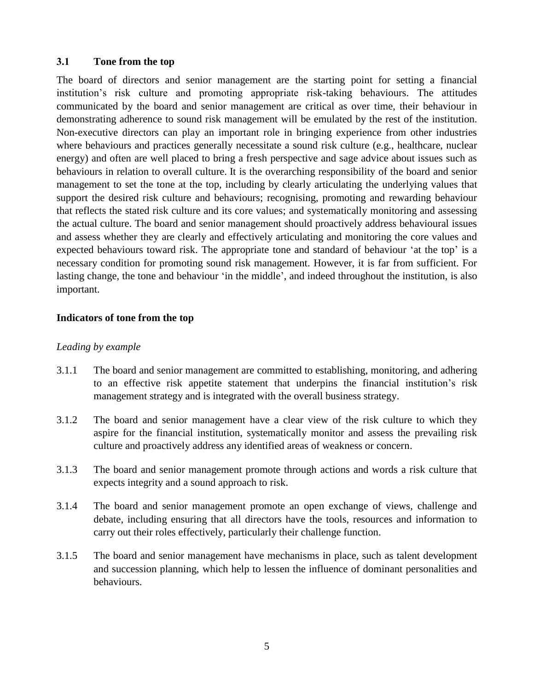#### **3.1 Tone from the top**

<span id="page-8-0"></span>The board of directors and senior management are the starting point for setting a financial institution's risk culture and promoting appropriate risk-taking behaviours. The attitudes communicated by the board and senior management are critical as over time, their behaviour in demonstrating adherence to sound risk management will be emulated by the rest of the institution. Non-executive directors can play an important role in bringing experience from other industries where behaviours and practices generally necessitate a sound risk culture (e.g., healthcare, nuclear energy) and often are well placed to bring a fresh perspective and sage advice about issues such as behaviours in relation to overall culture. It is the overarching responsibility of the board and senior management to set the tone at the top, including by clearly articulating the underlying values that support the desired risk culture and behaviours; recognising, promoting and rewarding behaviour that reflects the stated risk culture and its core values; and systematically monitoring and assessing the actual culture. The board and senior management should proactively address behavioural issues and assess whether they are clearly and effectively articulating and monitoring the core values and expected behaviours toward risk. The appropriate tone and standard of behaviour 'at the top' is a necessary condition for promoting sound risk management. However, it is far from sufficient. For lasting change, the tone and behaviour 'in the middle', and indeed throughout the institution, is also important.

#### **Indicators of tone from the top**

### *Leading by example*

- 3.1.1 The board and senior management are committed to establishing, monitoring, and adhering to an effective risk appetite statement that underpins the financial institution's risk management strategy and is integrated with the overall business strategy.
- 3.1.2 The board and senior management have a clear view of the risk culture to which they aspire for the financial institution, systematically monitor and assess the prevailing risk culture and proactively address any identified areas of weakness or concern.
- 3.1.3 The board and senior management promote through actions and words a risk culture that expects integrity and a sound approach to risk.
- 3.1.4 The board and senior management promote an open exchange of views, challenge and debate, including ensuring that all directors have the tools, resources and information to carry out their roles effectively, particularly their challenge function.
- 3.1.5 The board and senior management have mechanisms in place, such as talent development and succession planning, which help to lessen the influence of dominant personalities and behaviours.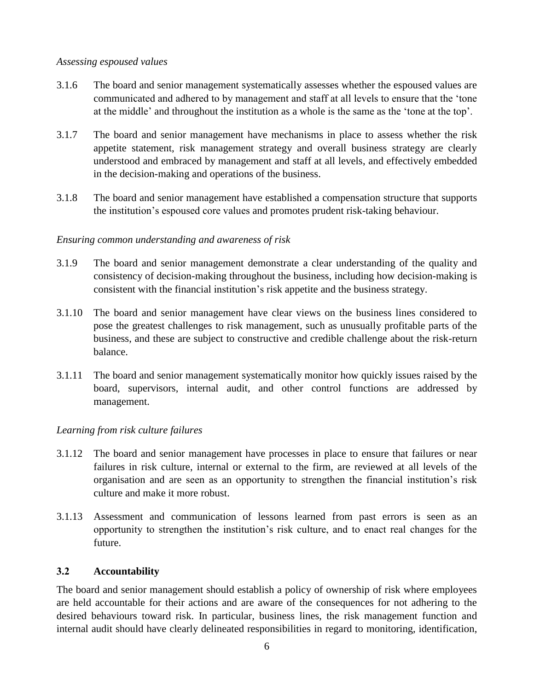#### *Assessing espoused values*

- 3.1.6 The board and senior management systematically assesses whether the espoused values are communicated and adhered to by management and staff at all levels to ensure that the 'tone at the middle' and throughout the institution as a whole is the same as the 'tone at the top'.
- 3.1.7 The board and senior management have mechanisms in place to assess whether the risk appetite statement, risk management strategy and overall business strategy are clearly understood and embraced by management and staff at all levels, and effectively embedded in the decision-making and operations of the business.
- 3.1.8 The board and senior management have established a compensation structure that supports the institution's espoused core values and promotes prudent risk-taking behaviour.

#### *Ensuring common understanding and awareness of risk*

- 3.1.9 The board and senior management demonstrate a clear understanding of the quality and consistency of decision-making throughout the business, including how decision-making is consistent with the financial institution's risk appetite and the business strategy.
- 3.1.10 The board and senior management have clear views on the business lines considered to pose the greatest challenges to risk management, such as unusually profitable parts of the business, and these are subject to constructive and credible challenge about the risk-return balance.
- 3.1.11 The board and senior management systematically monitor how quickly issues raised by the board, supervisors, internal audit, and other control functions are addressed by management.

#### *Learning from risk culture failures*

- 3.1.12 The board and senior management have processes in place to ensure that failures or near failures in risk culture, internal or external to the firm, are reviewed at all levels of the organisation and are seen as an opportunity to strengthen the financial institution's risk culture and make it more robust.
- 3.1.13 Assessment and communication of lessons learned from past errors is seen as an opportunity to strengthen the institution's risk culture, and to enact real changes for the future.

#### **3.2 Accountability**

<span id="page-9-0"></span>The board and senior management should establish a policy of ownership of risk where employees are held accountable for their actions and are aware of the consequences for not adhering to the desired behaviours toward risk. In particular, business lines, the risk management function and internal audit should have clearly delineated responsibilities in regard to monitoring, identification,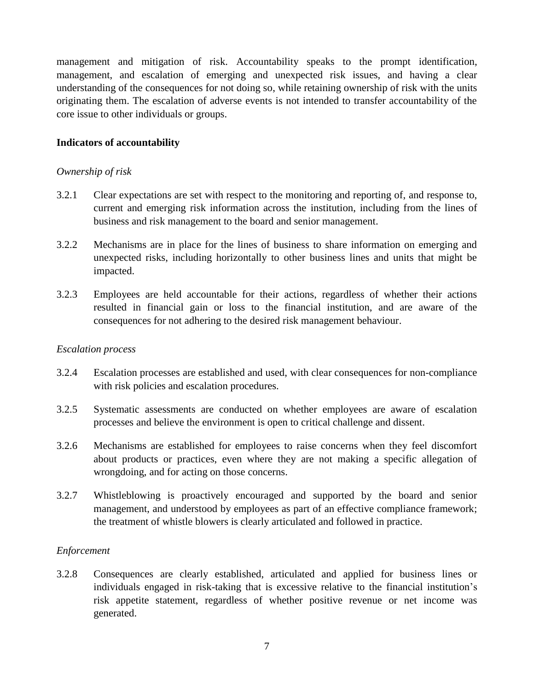management and mitigation of risk. Accountability speaks to the prompt identification, management, and escalation of emerging and unexpected risk issues, and having a clear understanding of the consequences for not doing so, while retaining ownership of risk with the units originating them. The escalation of adverse events is not intended to transfer accountability of the core issue to other individuals or groups.

## **Indicators of accountability**

#### *Ownership of risk*

- 3.2.1 Clear expectations are set with respect to the monitoring and reporting of, and response to, current and emerging risk information across the institution, including from the lines of business and risk management to the board and senior management.
- 3.2.2 Mechanisms are in place for the lines of business to share information on emerging and unexpected risks, including horizontally to other business lines and units that might be impacted.
- 3.2.3 Employees are held accountable for their actions, regardless of whether their actions resulted in financial gain or loss to the financial institution, and are aware of the consequences for not adhering to the desired risk management behaviour.

#### *Escalation process*

- 3.2.4 Escalation processes are established and used, with clear consequences for non-compliance with risk policies and escalation procedures.
- 3.2.5 Systematic assessments are conducted on whether employees are aware of escalation processes and believe the environment is open to critical challenge and dissent.
- 3.2.6 Mechanisms are established for employees to raise concerns when they feel discomfort about products or practices, even where they are not making a specific allegation of wrongdoing, and for acting on those concerns.
- 3.2.7 Whistleblowing is proactively encouraged and supported by the board and senior management, and understood by employees as part of an effective compliance framework; the treatment of whistle blowers is clearly articulated and followed in practice.

#### *Enforcement*

<span id="page-10-0"></span>3.2.8 Consequences are clearly established, articulated and applied for business lines or individuals engaged in risk-taking that is excessive relative to the financial institution's risk appetite statement, regardless of whether positive revenue or net income was generated.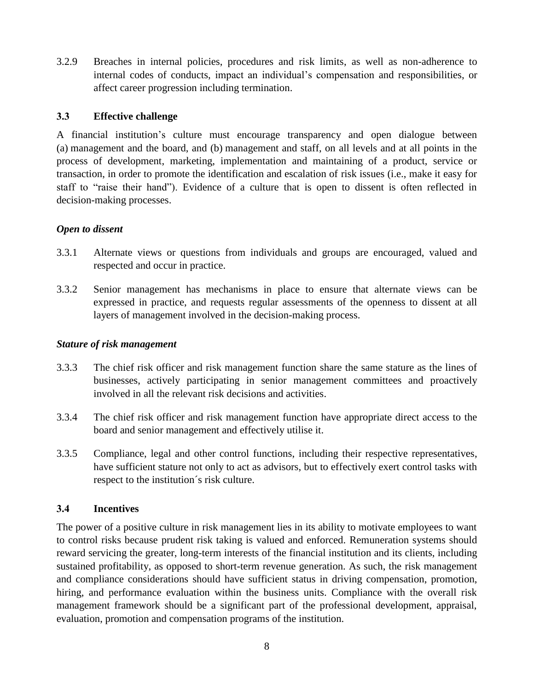3.2.9 Breaches in internal policies, procedures and risk limits, as well as non-adherence to internal codes of conducts, impact an individual's compensation and responsibilities, or affect career progression including termination.

## **3.3 Effective challenge**

A financial institution's culture must encourage transparency and open dialogue between (a) management and the board, and (b) management and staff, on all levels and at all points in the process of development, marketing, implementation and maintaining of a product, service or transaction, in order to promote the identification and escalation of risk issues (i.e., make it easy for staff to "raise their hand"). Evidence of a culture that is open to dissent is often reflected in decision-making processes.

# *Open to dissent*

- 3.3.1 Alternate views or questions from individuals and groups are encouraged, valued and respected and occur in practice.
- 3.3.2 Senior management has mechanisms in place to ensure that alternate views can be expressed in practice, and requests regular assessments of the openness to dissent at all layers of management involved in the decision-making process.

## *Stature of risk management*

- 3.3.3 The chief risk officer and risk management function share the same stature as the lines of businesses, actively participating in senior management committees and proactively involved in all the relevant risk decisions and activities.
- 3.3.4 The chief risk officer and risk management function have appropriate direct access to the board and senior management and effectively utilise it.
- 3.3.5 Compliance, legal and other control functions, including their respective representatives, have sufficient stature not only to act as advisors, but to effectively exert control tasks with respect to the institution´s risk culture.

# **3.4 Incentives**

<span id="page-11-0"></span>The power of a positive culture in risk management lies in its ability to motivate employees to want to control risks because prudent risk taking is valued and enforced. Remuneration systems should reward servicing the greater, long-term interests of the financial institution and its clients, including sustained profitability, as opposed to short-term revenue generation. As such, the risk management and compliance considerations should have sufficient status in driving compensation, promotion, hiring, and performance evaluation within the business units. Compliance with the overall risk management framework should be a significant part of the professional development, appraisal, evaluation, promotion and compensation programs of the institution.